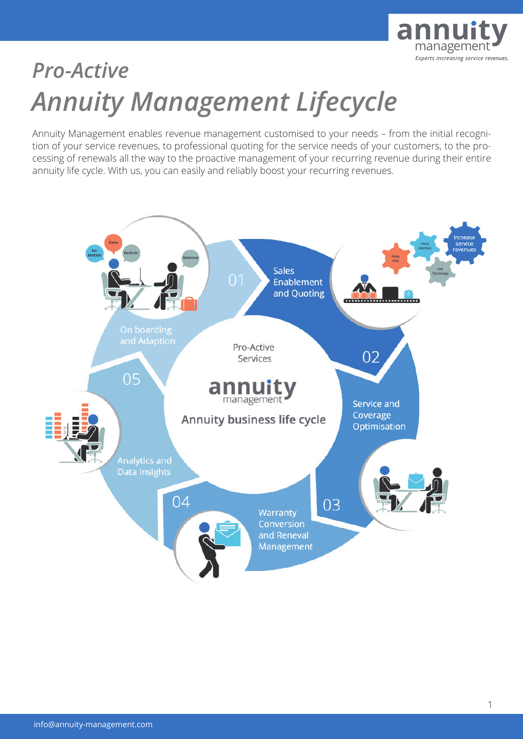

# *Annuity Management Lifecycle Pro-Active*

Annuity Management enables revenue management customised to your needs – from the initial recognition of your service revenues, to professional quoting for the service needs of your customers, to the processing of renewals all the way to the proactive management of your recurring revenue during their entire annuity life cycle. With us, you can easily and reliably boost your recurring revenues.

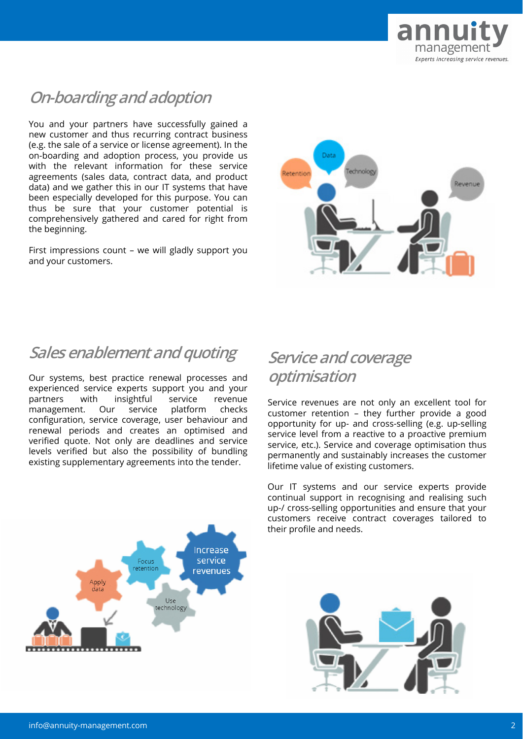

# **On-boarding and adoption**

You and your partners have successfully gained a new customer and thus recurring contract business (e.g. the sale of a service or license agreement). In the on-boarding and adoption process, you provide us with the relevant information for these service agreements (sales data, contract data, and product data) and we gather this in our IT systems that have been especially developed for this purpose. You can thus be sure that your customer potential is comprehensively gathered and cared for right from the beginning.

First impressions count – we will gladly support you and your customers.



## **Sales enablement and quoting**

Our systems, best practice renewal processes and experienced service experts support you and your partners with insightful service revenue management. Our service platform checks configuration, service coverage, user behaviour and renewal periods and creates an optimised and verified quote. Not only are deadlines and service levels verified but also the possibility of bundling existing supplementary agreements into the tender.

# **Service and coverage optimisation**

Service revenues are not only an excellent tool for customer retention – they further provide a good opportunity for up- and cross-selling (e.g. up-selling service level from a reactive to a proactive premium service, etc.). Service and coverage optimisation thus permanently and sustainably increases the customer lifetime value of existing customers.

Our IT systems and our service experts provide continual support in recognising and realising such up-/ cross-selling opportunities and ensure that your customers receive contract coverages tailored to their profile and needs.